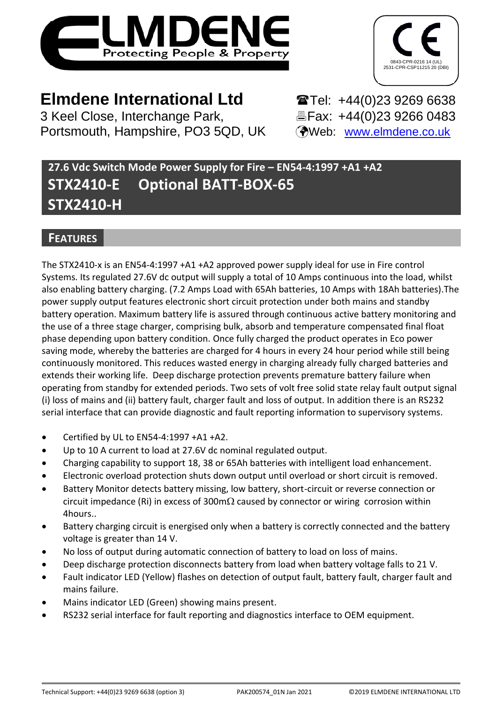



# **Elmdene International Ltd** Tel: +44(0)23 9269 6638

3 Keel Close, Interchange Park, Eax: +44(0)23 9266 0483 Portsmouth, Hampshire, PO3 5QD, UK (Web: [www.elmdene.co.uk](http://www.elmdene.co.uk/)

# **27.6 Vdc Switch Mode Power Supply for Fire – EN54-4:1997 +A1 +A2 STX2410-E Optional BATT-BOX-65 STX2410-H**

# **FEATURES**

The STX2410-x is an EN54-4:1997 +A1 +A2 approved power supply ideal for use in Fire control Systems. Its regulated 27.6V dc output will supply a total of 10 Amps continuous into the load, whilst also enabling battery charging. (7.2 Amps Load with 65Ah batteries, 10 Amps with 18Ah batteries).The power supply output features electronic short circuit protection under both mains and standby battery operation. Maximum battery life is assured through continuous active battery monitoring and the use of a three stage charger, comprising bulk, absorb and temperature compensated final float phase depending upon battery condition. Once fully charged the product operates in Eco power saving mode, whereby the batteries are charged for 4 hours in every 24 hour period while still being continuously monitored. This reduces wasted energy in charging already fully charged batteries and extends their working life. Deep discharge protection prevents premature battery failure when operating from standby for extended periods. Two sets of volt free solid state relay fault output signal (i) loss of mains and (ii) battery fault, charger fault and loss of output. In addition there is an RS232 serial interface that can provide diagnostic and fault reporting information to supervisory systems.

- Certified by UL to EN54-4:1997 +A1 +A2.
- Up to 10 A current to load at 27.6V dc nominal regulated output.
- Charging capability to support 18, 38 or 65Ah batteries with intelligent load enhancement.
- Electronic overload protection shuts down output until overload or short circuit is removed.
- Battery Monitor detects battery missing, low battery, short-circuit or reverse connection or circuit impedance (Ri) in excess of 300m $\Omega$  caused by connector or wiring corrosion within 4hours..
- Battery charging circuit is energised only when a battery is correctly connected and the battery voltage is greater than 14 V.
- No loss of output during automatic connection of battery to load on loss of mains.
- Deep discharge protection disconnects battery from load when battery voltage falls to 21 V.
- Fault indicator LED (Yellow) flashes on detection of output fault, battery fault, charger fault and mains failure.
- Mains indicator LED (Green) showing mains present.
- RS232 serial interface for fault reporting and diagnostics interface to OEM equipment.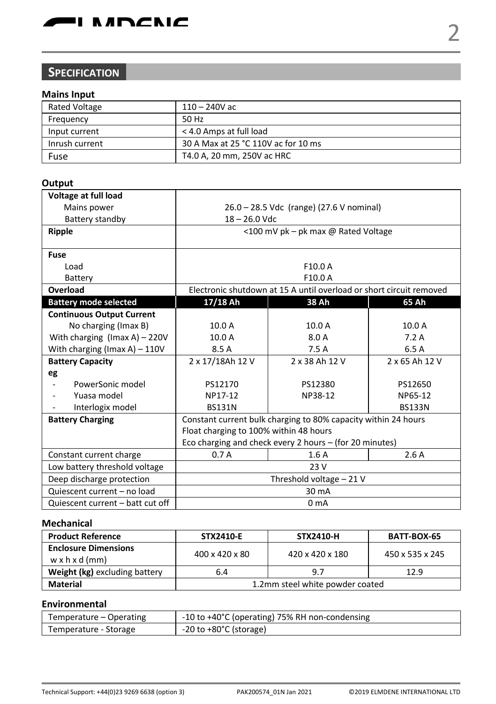

# **SPECIFICATION**

# **Mains Input**

| <b>Rated Voltage</b> | $110 - 240V$ ac                     |
|----------------------|-------------------------------------|
| Frequency            | 50 Hz                               |
| Input current        | < 4.0 Amps at full load             |
| Inrush current       | 30 A Max at 25 °C 110V ac for 10 ms |
| Fuse                 | T4.0 A. 20 mm. 250V ac HRC          |

## **Output**

| Voltage at full load                |                                                                |                                                                     |                |  |
|-------------------------------------|----------------------------------------------------------------|---------------------------------------------------------------------|----------------|--|
| Mains power                         | 26.0 - 28.5 Vdc (range) (27.6 V nominal)                       |                                                                     |                |  |
| Battery standby                     | $18 - 26.0$ Vdc                                                |                                                                     |                |  |
| Ripple                              |                                                                | <100 mV pk - pk max @ Rated Voltage                                 |                |  |
|                                     |                                                                |                                                                     |                |  |
| <b>Fuse</b>                         |                                                                |                                                                     |                |  |
| Load                                |                                                                | F10.0 A                                                             |                |  |
| Battery                             |                                                                | F10.0 A                                                             |                |  |
| Overload                            |                                                                | Electronic shutdown at 15 A until overload or short circuit removed |                |  |
| <b>Battery mode selected</b>        | 17/18 Ah<br>38 Ah<br>65 Ah                                     |                                                                     |                |  |
| <b>Continuous Output Current</b>    |                                                                |                                                                     |                |  |
| No charging (Imax B)                | 10.0 A                                                         | 10.0 A                                                              | 10.0 A         |  |
| With charging $($ Imax A $)$ – 220V | 10.0A                                                          | 8.0 A                                                               | 7.2A           |  |
| With charging (Imax A) $-110V$      | 8.5 A                                                          | 7.5A                                                                | 6.5 A          |  |
| <b>Battery Capacity</b>             | 2 x 17/18Ah 12 V                                               | 2 x 38 Ah 12 V                                                      | 2 x 65 Ah 12 V |  |
| eg                                  |                                                                |                                                                     |                |  |
| PowerSonic model                    | PS12170                                                        | PS12380                                                             | PS12650        |  |
| Yuasa model                         | NP17-12                                                        | NP38-12                                                             | NP65-12        |  |
| Interlogix model                    | <b>BS131N</b>                                                  |                                                                     | <b>BS133N</b>  |  |
| <b>Battery Charging</b>             | Constant current bulk charging to 80% capacity within 24 hours |                                                                     |                |  |
|                                     | Float charging to 100% within 48 hours                         |                                                                     |                |  |
|                                     | Eco charging and check every 2 hours - (for 20 minutes)        |                                                                     |                |  |
| Constant current charge             | 0.7A                                                           | 1.6A                                                                | 2.6A           |  |
| Low battery threshold voltage       | 23 V                                                           |                                                                     |                |  |
| Deep discharge protection           | Threshold voltage - 21 V                                       |                                                                     |                |  |
| Quiescent current - no load         | 30 mA                                                          |                                                                     |                |  |
| Quiescent current - batt cut off    | 0 <sub>m</sub> A                                               |                                                                     |                |  |

## **Mechanical**

| <b>Product Reference</b>                                  | <b>STX2410 E</b>                | STX2410-H       | <b>BATT BOX 65</b> |
|-----------------------------------------------------------|---------------------------------|-----------------|--------------------|
| <b>Enclosure Dimensions</b><br>$w \times h \times d$ (mm) | 400 x 420 x 80                  | 420 x 420 x 180 | 450 x 535 x 245    |
| Weight (kg) excluding battery                             | 12.9<br>9.7<br>6.4              |                 |                    |
| Material                                                  | 1.2mm steel white powder coated |                 |                    |

### **Environmental**

| Temperature - Operating | -10 to +40°C (operating) 75% RH non-condensing |
|-------------------------|------------------------------------------------|
| Temperature - Storage   | $-20$ to $+80^{\circ}$ C (storage)             |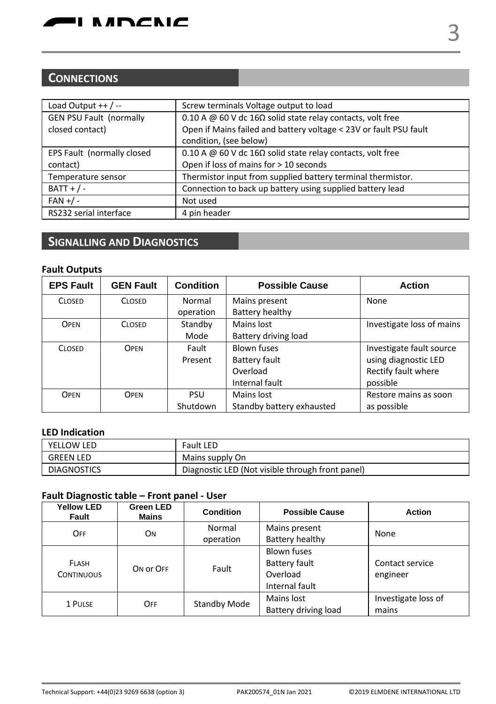# **CONNECTIONS**

| Screw terminals Voltage output to load                               |
|----------------------------------------------------------------------|
| 0.10 A @ 60 V dc 16 $\Omega$ solid state relay contacts, volt free   |
| Open if Mains failed and battery voltage < 23V or fault PSU fault    |
| condition, (see below)                                               |
| 0.10 A $@$ 60 V dc 16 $\Omega$ solid state relay contacts, volt free |
| Open if loss of mains for > 10 seconds                               |
| Thermistor input from supplied battery terminal thermistor.          |
| Connection to back up battery using supplied battery lead            |
| Not used                                                             |
| 4 pin header                                                         |
|                                                                      |

# **SIGNALLING AND DIAGNOSTICS**

# **Fault Outputs**

| <b>EPS Fault</b> | <b>GEN Fault</b> | <b>Condition</b> | <b>Possible Cause</b>                 | <b>Action</b>             |
|------------------|------------------|------------------|---------------------------------------|---------------------------|
| <b>CLOSED</b>    | <b>CLOSED</b>    | Normal           | Mains present                         | None                      |
|                  |                  | operation        | Battery healthy                       |                           |
| OPEN             | <b>CLOSED</b>    | Standby          | Mains lost                            | Investigate loss of mains |
|                  |                  | Mode             | Battery driving load                  |                           |
| <b>CLOSED</b>    | <b>OPEN</b>      | Fault            | Blown fuses                           | Investigate fault source  |
|                  |                  | Present          | using diagnostic LED<br>Battery fault |                           |
|                  |                  |                  | Overload                              | Rectify fault where       |
|                  |                  |                  | Internal fault                        | possible                  |
| OPEN             | <b>OPEN</b>      | <b>PSU</b>       | Mains lost                            | Restore mains as soon     |
|                  |                  | Shutdown         | Standby battery exhausted             | as possible               |

# **LED Indication**

| YELLOW LED         | Fault LED                                        |
|--------------------|--------------------------------------------------|
| <b>GREEN LED</b>   | Mains supply On                                  |
| <b>DIAGNOSTICS</b> | Diagnostic LED (Not visible through front panel) |

# **Fault Diagnostic table – Front panel - User**

| <b>Yellow LED</b><br>Fault        | Green LED<br>Mains | Condition    | <b>Possible Cause</b>                                             | <b>Action</b>                |
|-----------------------------------|--------------------|--------------|-------------------------------------------------------------------|------------------------------|
| OFF                               | <b>ON</b>          | Normal       | Mains present                                                     | None                         |
|                                   |                    | operation    | Battery healthy                                                   |                              |
| <b>FLASH</b><br><b>CONTINUOUS</b> | ON OF OFF          | Fault        | <b>Blown fuses</b><br>Battery fault<br>Overload<br>Internal fault | Contact service<br>engineer  |
| 1 PULSE                           | OFF                | Standby Mode | Mains lost<br>Battery driving load                                | Investigate loss of<br>mains |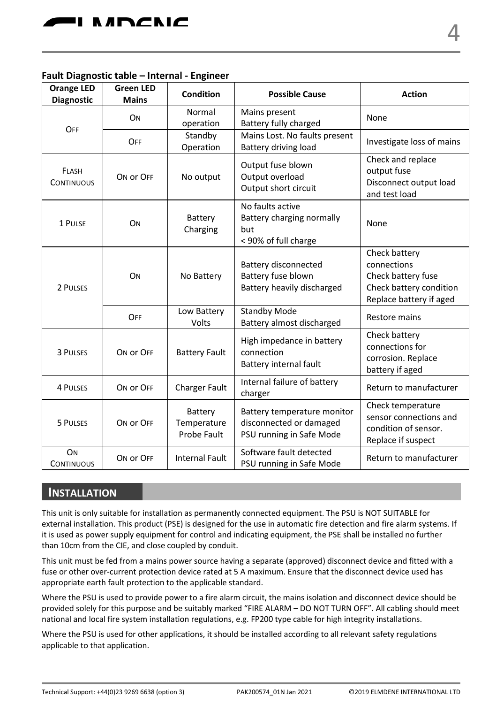## **Fault Diagnostic table – Internal - Engineer**

| <b>Orange LED</b><br><b>Diagnostic</b> | <b>Green LED</b><br><b>Mains</b> | Condition                             | <b>Possible Cause</b>                                                              | <b>Action</b>                                                                                            |
|----------------------------------------|----------------------------------|---------------------------------------|------------------------------------------------------------------------------------|----------------------------------------------------------------------------------------------------------|
| OFF                                    | ON                               | Normal<br>operation                   | Mains present<br>Battery fully charged                                             | None                                                                                                     |
|                                        | OFF                              | Standby<br>Operation                  | Mains Lost. No faults present<br>Battery driving load                              | Investigate loss of mains                                                                                |
| FLASH<br><b>CONTINUOUS</b>             | ON OF OFF                        | No output                             | Output fuse blown<br>Output overload<br>Output short circuit                       | Check and replace<br>output fuse<br>Disconnect output load<br>and test load                              |
| 1 PULSE                                | ON                               | Battery<br>Charging                   | No faults active<br>Battery charging normally<br>but<br>< 90% of full charge       | None                                                                                                     |
| 2 PULSES                               | ON                               | No Battery                            | Battery disconnected<br>Battery fuse blown<br>Battery heavily discharged           | Check battery<br>connections<br>Check battery fuse<br>Check battery condition<br>Replace battery if aged |
|                                        | OFF                              | Low Battery<br>Volts                  | <b>Standby Mode</b><br>Battery almost discharged                                   | Restore mains                                                                                            |
| 3 PULSES                               | ON OF OFF                        | <b>Battery Fault</b>                  | High impedance in battery<br>connection<br>Battery internal fault                  | Check battery<br>connections for<br>corrosion. Replace<br>battery if aged                                |
| <b>4 PULSES</b>                        | ON OF OFF                        | <b>Charger Fault</b>                  | Internal failure of battery<br>charger                                             | Return to manufacturer                                                                                   |
| 5 PULSES                               | ON OF OFF                        | Battery<br>Temperature<br>Probe Fault | Battery temperature monitor<br>disconnected or damaged<br>PSU running in Safe Mode | Check temperature<br>sensor connections and<br>condition of sensor.<br>Replace if suspect                |
| ON<br><b>CONTINUOUS</b>                | ON OF OFF                        | <b>Internal Fault</b>                 | Software fault detected<br>PSU running in Safe Mode                                | Return to manufacturer                                                                                   |

# **INSTALLATION**

This unit is only suitable for installation as permanently connected equipment. The PSU is NOT SUITABLE for external installation. This product (PSE) is designed for the use in automatic fire detection and fire alarm systems. If it is used as power supply equipment for control and indicating equipment, the PSE shall be installed no further than 10cm from the CIE, and close coupled by conduit.

This unit must be fed from a mains power source having a separate (approved) disconnect device and fitted with a fuse or other over-current protection device rated at 5 A maximum. Ensure that the disconnect device used has appropriate earth fault protection to the applicable standard.

Where the PSU is used to provide power to a fire alarm circuit, the mains isolation and disconnect device should be provided solely for this purpose and be suitably marked "FIRE ALARM – DO NOT TURN OFF". All cabling should meet national and local fire system installation regulations, e.g. FP200 type cable for high integrity installations.

Where the PSU is used for other applications, it should be installed according to all relevant safety regulations applicable to that application.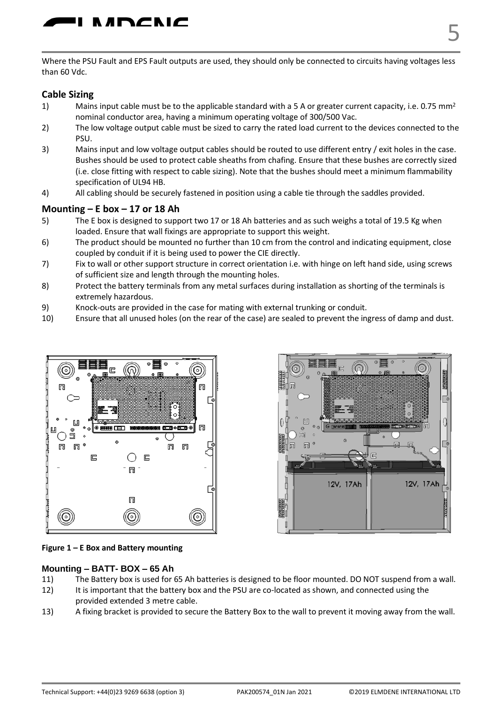

Where the PSU Fault and EPS Fault outputs are used, they should only be connected to circuits having voltages less than 60 Vdc.

# **Cable Sizing**

- Mains input cable must be to the applicable standard with a 5 A or greater current capacity, i.e. 0.75 mm<sup>2</sup> nominal conductor area, having a minimum operating voltage of 300/500 Vac.
- 2) The low voltage output cable must be sized to carry the rated load current to the devices connected to the PSU.
- 3) Mains input and low voltage output cables should be routed to use different entry / exit holes in the case. Bushes should be used to protect cable sheaths from chafing. Ensure that these bushes are correctly sized (i.e. close fitting with respect to cable sizing). Note that the bushes should meet a minimum flammability specification of UL94 HB.
- 4) All cabling should be securely fastened in position using a cable tie through the saddles provided.

#### **Mounting – E box – 17 or 18 Ah**

- 5) The E box is designed to support two 17 or 18 Ah batteries and as such weighs a total of 19.5 Kg when loaded. Ensure that wall fixings are appropriate to support this weight.
- 6) The product should be mounted no further than 10 cm from the control and indicating equipment, close coupled by conduit if it is being used to power the CIE directly.
- 7) Fix to wall or other support structure in correct orientation i.e. with hinge on left hand side, using screws of sufficient size and length through the mounting holes.
- 8) Protect the battery terminals from any metal surfaces during installation as shorting of the terminals is extremely hazardous.
- 9) Knock-outs are provided in the case for mating with external trunking or conduit.
- 10) Ensure that all unused holes (on the rear of the case) are sealed to prevent the ingress of damp and dust.





#### **Figure 1 – E Box and Battery mounting**

#### **Mounting – BATT- BOX – 65 Ah**

- 11) The Battery box is used for 65 Ah batteries is designed to be floor mounted. DO NOT suspend from a wall.
- 12) It is important that the battery box and the PSU are co-located as shown, and connected using the provided extended 3 metre cable.
- 13) A fixing bracket is provided to secure the Battery Box to the wall to prevent it moving away from the wall.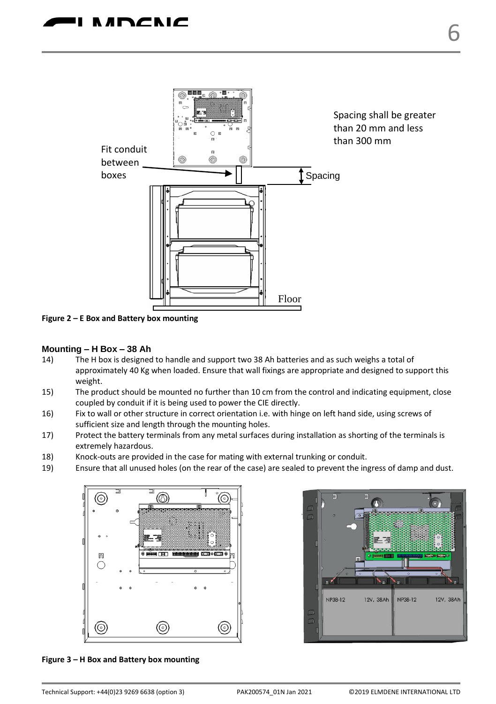

**Figure 2 – E Box and Battery box mounting**

### **Mounting – H Box – 38 Ah**

- 14) The H box is designed to handle and support two 38 Ah batteries and as such weighs a total of approximately 40 Kg when loaded. Ensure that wall fixings are appropriate and designed to support this weight.
- 15) The product should be mounted no further than 10 cm from the control and indicating equipment, close coupled by conduit if it is being used to power the CIE directly.
- 16) Fix to wall or other structure in correct orientation i.e. with hinge on left hand side, using screws of sufficient size and length through the mounting holes.
- 17) Protect the battery terminals from any metal surfaces during installation as shorting of the terminals is extremely hazardous.
- 18) Knock-outs are provided in the case for mating with external trunking or conduit.
- 19) Ensure that all unused holes (on the rear of the case) are sealed to prevent the ingress of damp and dust.





**Figure 3 – H Box and Battery box mounting**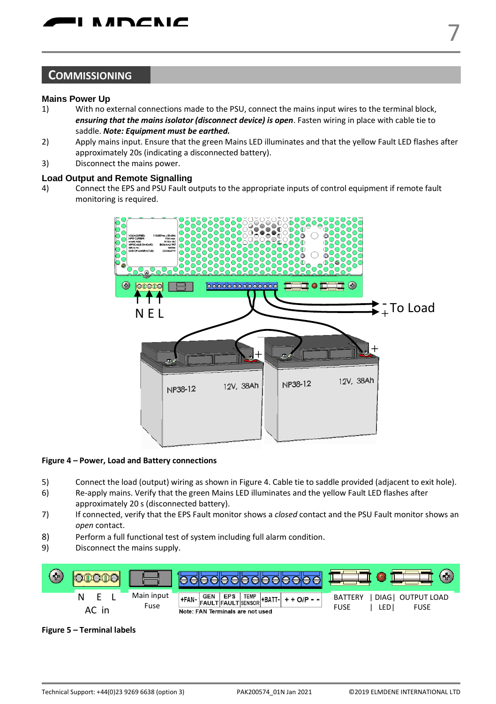# **COMMISSIONING**

#### **Mains Power Up**

- 1) With no external connections made to the PSU, connect the mains input wires to the terminal block, *ensuring that the mains isolator (disconnect device) is open*. Fasten wiring in place with cable tie to saddle. *Note: Equipment must be earthed.*
- 2) Apply mains input. Ensure that the green Mains LED illuminates and that the yellow Fault LED flashes after approximately 20s (indicating a disconnected battery).
- 3) Disconnect the mains power.

#### **Load Output and Remote Signalling**

4) Connect the EPS and PSU Fault outputs to the appropriate inputs of control equipment if remote fault monitoring is required.



#### **Figure 4 – Power, Load and Battery connections**

- 5) Connect the load (output) wiring as shown in Figure 4. Cable tie to saddle provided (adjacent to exit hole).
- 6) Re-apply mains. Verify that the green Mains LED illuminates and the yellow Fault LED flashes after approximately 20 s (disconnected battery).
- 7) If connected, verify that the EPS Fault monitor shows a *closed* contact and the PSU Fault monitor shows an *open* contact.
- 8) Perform a full functional test of system including full alarm condition.
- 9) Disconnect the mains supply.



**Figure 5 – Terminal labels**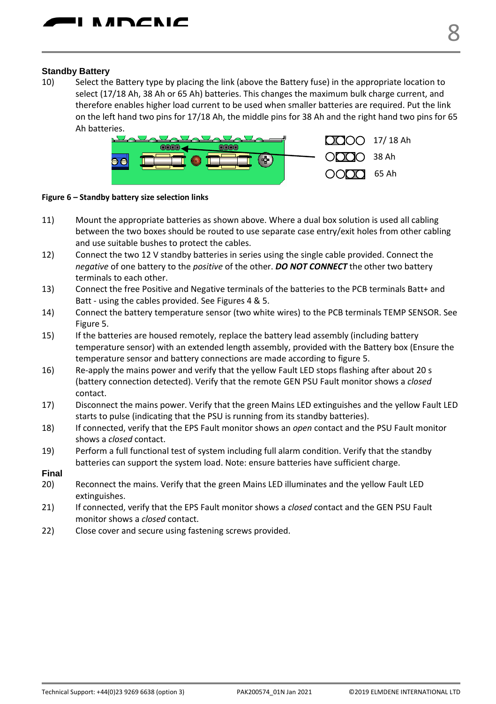#### **Standby Battery**

10) Select the Battery type by placing the link (above the Battery fuse) in the appropriate location to select (17/18 Ah, 38 Ah or 65 Ah) batteries. This changes the maximum bulk charge current, and therefore enables higher load current to be used when smaller batteries are required. Put the link on the left hand two pins for 17/18 Ah, the middle pins for 38 Ah and the right hand two pins for 65 Ah batteries.



**Figure 6 – Standby battery size selection links**

- 11) Mount the appropriate batteries as shown above. Where a dual box solution is used all cabling between the two boxes should be routed to use separate case entry/exit holes from other cabling and use suitable bushes to protect the cables.
- 12) Connect the two 12 V standby batteries in series using the single cable provided. Connect the *negative* of one battery to the *positive* of the other. *DO NOT CONNECT* the other two battery terminals to each other.
- 13) Connect the free Positive and Negative terminals of the batteries to the PCB terminals Batt+ and Batt - using the cables provided. See Figures 4 & 5.
- 14) Connect the battery temperature sensor (two white wires) to the PCB terminals TEMP SENSOR. See Figure 5.
- 15) If the batteries are housed remotely, replace the battery lead assembly (including battery temperature sensor) with an extended length assembly, provided with the Battery box (Ensure the temperature sensor and battery connections are made according to figure 5.
- 16) Re-apply the mains power and verify that the yellow Fault LED stops flashing after about 20 s (battery connection detected). Verify that the remote GEN PSU Fault monitor shows a *closed* contact.
- 17) Disconnect the mains power. Verify that the green Mains LED extinguishes and the yellow Fault LED starts to pulse (indicating that the PSU is running from its standby batteries).
- 18) If connected, verify that the EPS Fault monitor shows an *open* contact and the PSU Fault monitor shows a *closed* contact.
- 19) Perform a full functional test of system including full alarm condition. Verify that the standby batteries can support the system load. Note: ensure batteries have sufficient charge.
- **Final**
- 20) Reconnect the mains. Verify that the green Mains LED illuminates and the yellow Fault LED extinguishes.
- 21) If connected, verify that the EPS Fault monitor shows a *closed* contact and the GEN PSU Fault monitor shows a *closed* contact.
- 22) Close cover and secure using fastening screws provided.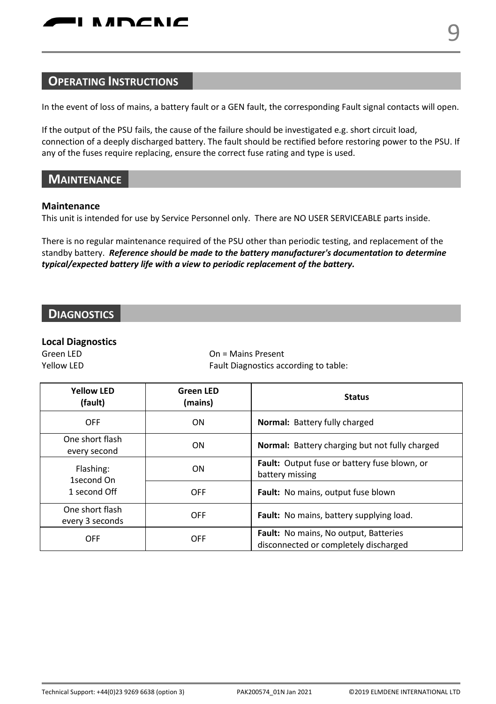In the event of loss of mains, a battery fault or a GEN fault, the corresponding Fault signal contacts will open.

If the output of the PSU fails, the cause of the failure should be investigated e.g. short circuit load, connection of a deeply discharged battery. The fault should be rectified before restoring power to the PSU. If any of the fuses require replacing, ensure the correct fuse rating and type is used.

# **MAINTENANCE**

### **Maintenance**

This unit is intended for use by Service Personnel only. There are NO USER SERVICEABLE parts inside.

There is no regular maintenance required of the PSU other than periodic testing, and replacement of the standby battery. *Reference should be made to the battery manufacturer's documentation to determine typical/expected battery life with a view to periodic replacement of the battery.* 

# **DIAGNOSTICS**

## **Local Diagnostics**

Green LED **On = Mains Present** Yellow LED **Fault Diagnostics according to table:** 

| <b>Yellow LFD</b><br>(fault)            | <b>Green LED</b><br>(mains) | <b>Status</b>                                                                         |  |
|-----------------------------------------|-----------------------------|---------------------------------------------------------------------------------------|--|
| OFF                                     | ON                          | <b>Normal:</b> Battery fully charged                                                  |  |
| One short flash<br>every second         | ON                          | <b>Normal:</b> Battery charging but not fully charged                                 |  |
| Flashing:<br>1second On<br>1 second Off | ON                          | Fault: Output fuse or battery fuse blown, or<br>battery missing                       |  |
|                                         | <b>OFF</b>                  | <b>Fault:</b> No mains, output fuse blown                                             |  |
| One short flash<br>every 3 seconds      | OFF                         | Fault: No mains, battery supplying load.                                              |  |
| OFF                                     | <b>OFF</b>                  | <b>Fault:</b> No mains, No output, Batteries<br>disconnected or completely discharged |  |